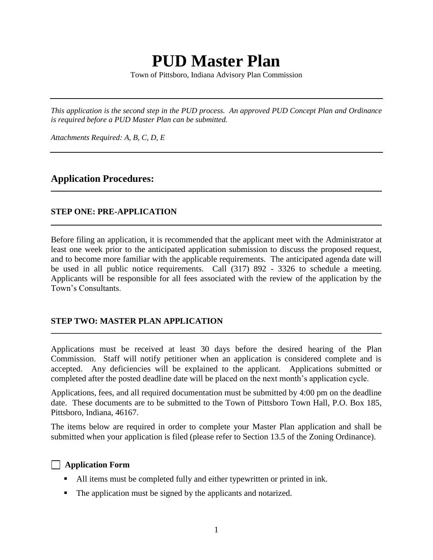# **PUD Master Plan**

Town of Pittsboro, Indiana Advisory Plan Commission

*This application is the second step in the PUD process. An approved PUD Concept Plan and Ordinance is required before a PUD Master Plan can be submitted.*

*Attachments Required: A, B, C, D, E*

#### **Application Procedures:**

#### **STEP ONE: PRE-APPLICATION**

Before filing an application, it is recommended that the applicant meet with the Administrator at least one week prior to the anticipated application submission to discuss the proposed request, and to become more familiar with the applicable requirements. The anticipated agenda date will be used in all public notice requirements. Call (317) 892 - 3326 to schedule a meeting. Applicants will be responsible for all fees associated with the review of the application by the Town's Consultants.

#### **STEP TWO: MASTER PLAN APPLICATION**

Applications must be received at least 30 days before the desired hearing of the Plan Commission. Staff will notify petitioner when an application is considered complete and is accepted. Any deficiencies will be explained to the applicant. Applications submitted or completed after the posted deadline date will be placed on the next month's application cycle.

Applications, fees, and all required documentation must be submitted by 4:00 pm on the deadline date. These documents are to be submitted to the Town of Pittsboro Town Hall, P.O. Box 185, Pittsboro, Indiana, 46167.

The items below are required in order to complete your Master Plan application and shall be submitted when your application is filed (please refer to Section 13.5 of the Zoning Ordinance).

#### **Application Form**

- All items must be completed fully and either typewritten or printed in ink.
- The application must be signed by the applicants and notarized.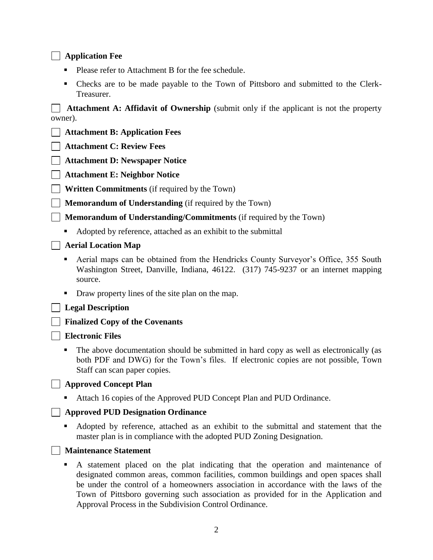#### **Application Fee**

- **Please refer to Attachment B for the fee schedule.**
- Checks are to be made payable to the Town of Pittsboro and submitted to the Clerk-Treasurer.

**Attachment A: Affidavit of Ownership** (submit only if the applicant is not the property owner).

**Attachment B: Application Fees**

**Attachment C: Review Fees**

**Attachment D: Newspaper Notice**

**Attachment E: Neighbor Notice**

**Written Commitments** (if required by the Town)

**Memorandum of Understanding** (if required by the Town)

**Memorandum of Understanding/Commitments** (if required by the Town)

- Adopted by reference, attached as an exhibit to the submittal
- **Aerial Location Map**
	- Aerial maps can be obtained from the Hendricks County Surveyor's Office, 355 South Washington Street, Danville, Indiana, 46122. (317) 745-9237 or an internet mapping source.
	- Draw property lines of the site plan on the map.
- **Legal Description**

#### **Finalized Copy of the Covenants**

#### **Electronic Files**

 The above documentation should be submitted in hard copy as well as electronically (as both PDF and DWG) for the Town's files. If electronic copies are not possible, Town Staff can scan paper copies.

#### **Approved Concept Plan**

■ Attach 16 copies of the Approved PUD Concept Plan and PUD Ordinance.

#### **Approved PUD Designation Ordinance**

 Adopted by reference, attached as an exhibit to the submittal and statement that the master plan is in compliance with the adopted PUD Zoning Designation.

#### **Maintenance Statement**

 A statement placed on the plat indicating that the operation and maintenance of designated common areas, common facilities, common buildings and open spaces shall be under the control of a homeowners association in accordance with the laws of the Town of Pittsboro governing such association as provided for in the Application and Approval Process in the Subdivision Control Ordinance.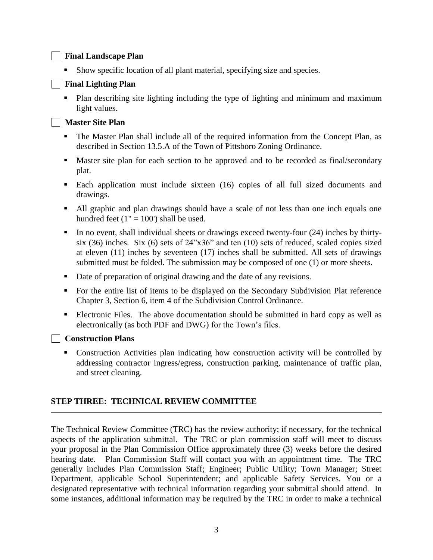#### **Final Landscape Plan**

Show specific location of all plant material, specifying size and species.

#### **Final Lighting Plan**

 Plan describing site lighting including the type of lighting and minimum and maximum light values.

#### **Master Site Plan**

- The Master Plan shall include all of the required information from the Concept Plan, as described in Section 13.5.A of the Town of Pittsboro Zoning Ordinance.
- Master site plan for each section to be approved and to be recorded as final/secondary plat.
- Each application must include sixteen (16) copies of all full sized documents and drawings.
- All graphic and plan drawings should have a scale of not less than one inch equals one hundred feet  $(1" = 100')$  shall be used.
- In no event, shall individual sheets or drawings exceed twenty-four (24) inches by thirtysix (36) inches. Six (6) sets of 24"x36" and ten (10) sets of reduced, scaled copies sized at eleven (11) inches by seventeen (17) inches shall be submitted. All sets of drawings submitted must be folded. The submission may be composed of one (1) or more sheets.
- Date of preparation of original drawing and the date of any revisions.
- For the entire list of items to be displayed on the Secondary Subdivision Plat reference Chapter 3, Section 6, item 4 of the Subdivision Control Ordinance.
- Electronic Files. The above documentation should be submitted in hard copy as well as electronically (as both PDF and DWG) for the Town's files.

#### **Construction Plans**

 Construction Activities plan indicating how construction activity will be controlled by addressing contractor ingress/egress, construction parking, maintenance of traffic plan, and street cleaning.

#### **STEP THREE: TECHNICAL REVIEW COMMITTEE**

The Technical Review Committee (TRC) has the review authority; if necessary, for the technical aspects of the application submittal. The TRC or plan commission staff will meet to discuss your proposal in the Plan Commission Office approximately three (3) weeks before the desired hearing date. Plan Commission Staff will contact you with an appointment time. The TRC generally includes Plan Commission Staff; Engineer; Public Utility; Town Manager; Street Department, applicable School Superintendent; and applicable Safety Services. You or a designated representative with technical information regarding your submittal should attend. In some instances, additional information may be required by the TRC in order to make a technical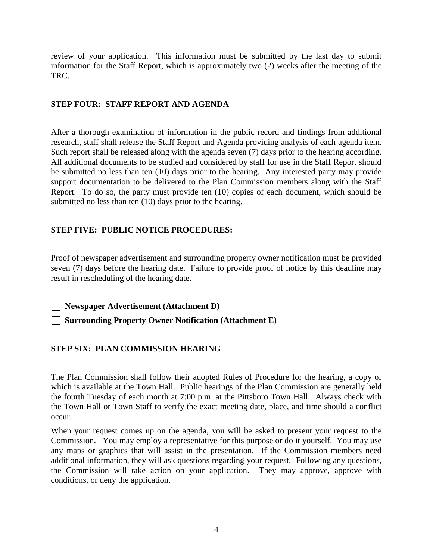review of your application. This information must be submitted by the last day to submit information for the Staff Report, which is approximately two (2) weeks after the meeting of the TRC.

#### **STEP FOUR: STAFF REPORT AND AGENDA**

After a thorough examination of information in the public record and findings from additional research, staff shall release the Staff Report and Agenda providing analysis of each agenda item. Such report shall be released along with the agenda seven (7) days prior to the hearing according. All additional documents to be studied and considered by staff for use in the Staff Report should be submitted no less than ten (10) days prior to the hearing. Any interested party may provide support documentation to be delivered to the Plan Commission members along with the Staff Report. To do so, the party must provide ten (10) copies of each document, which should be submitted no less than ten (10) days prior to the hearing.

#### **STEP FIVE: PUBLIC NOTICE PROCEDURES:**

Proof of newspaper advertisement and surrounding property owner notification must be provided seven (7) days before the hearing date. Failure to provide proof of notice by this deadline may result in rescheduling of the hearing date.

**Newspaper Advertisement (Attachment D)**

**Surrounding Property Owner Notification (Attachment E)**

#### **STEP SIX: PLAN COMMISSION HEARING**

The Plan Commission shall follow their adopted Rules of Procedure for the hearing, a copy of which is available at the Town Hall. Public hearings of the Plan Commission are generally held the fourth Tuesday of each month at 7:00 p.m. at the Pittsboro Town Hall. Always check with the Town Hall or Town Staff to verify the exact meeting date, place, and time should a conflict occur.

When your request comes up on the agenda, you will be asked to present your request to the Commission. You may employ a representative for this purpose or do it yourself. You may use any maps or graphics that will assist in the presentation. If the Commission members need additional information, they will ask questions regarding your request. Following any questions, the Commission will take action on your application. They may approve, approve with conditions, or deny the application.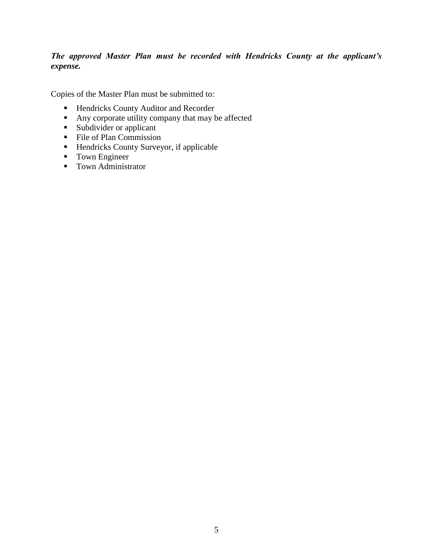#### *The approved Master Plan must be recorded with Hendricks County at the applicant's expense.*

Copies of the Master Plan must be submitted to:

- **Hendricks County Auditor and Recorder**
- Any corporate utility company that may be affected
- **Subdivider or applicant**
- File of Plan Commission
- **Hendricks County Surveyor, if applicable**
- **Town Engineer**
- Town Administrator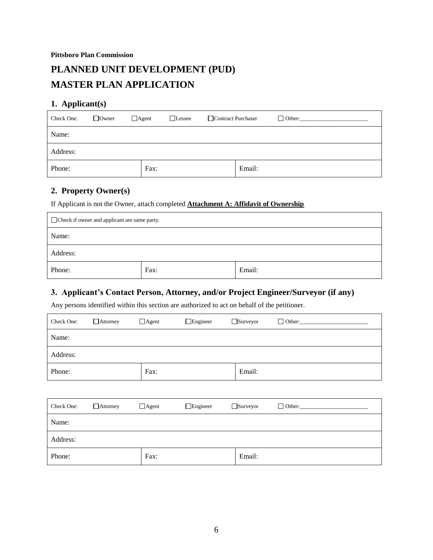## **PLANNED UNIT DEVELOPMENT (PUD) MASTER PLAN APPLICATION**

#### **1. Applicant(s)**

| Check One: | $\Box$ Owner | $\Box$ Agent<br>$\Box$ Lessee | Contract Purchaser |        | $\Box$ Other: |
|------------|--------------|-------------------------------|--------------------|--------|---------------|
| Name:      |              |                               |                    |        |               |
| Address:   |              |                               |                    |        |               |
| Phone:     |              | Fax:                          |                    | Email: |               |

#### **2. Property Owner(s)**

If Applicant is not the Owner, attach completed **Attachment A: Affidavit of Ownership**

| Check if owner and applicant are same party. |      |        |  |  |
|----------------------------------------------|------|--------|--|--|
| Name:                                        |      |        |  |  |
| Address:                                     |      |        |  |  |
| Phone:                                       | Fax: | Email: |  |  |

#### **3. Applicant's Contact Person, Attorney, and/or Project Engineer/Surveyor (if any)**

Any persons identified within this section are authorized to act on behalf of the petitioner.

| Check One: | $\Box$ Attorney | $\Box$ Agent | $\Box$ Engineer | $\Box$ Surveyor | $\Box$ Other: |
|------------|-----------------|--------------|-----------------|-----------------|---------------|
| Name:      |                 |              |                 |                 |               |
| Address:   |                 |              |                 |                 |               |
| Phone:     |                 | Fax:         |                 | Email:          |               |

| Check One: | $\Box$ Attorney | $\Box$ Agent | $\Box$ Engineer | $\Box$ Surveyor | $\Box$ Other: |
|------------|-----------------|--------------|-----------------|-----------------|---------------|
| Name:      |                 |              |                 |                 |               |
| Address:   |                 |              |                 |                 |               |
| Phone:     |                 | Fax:         |                 | Email:          |               |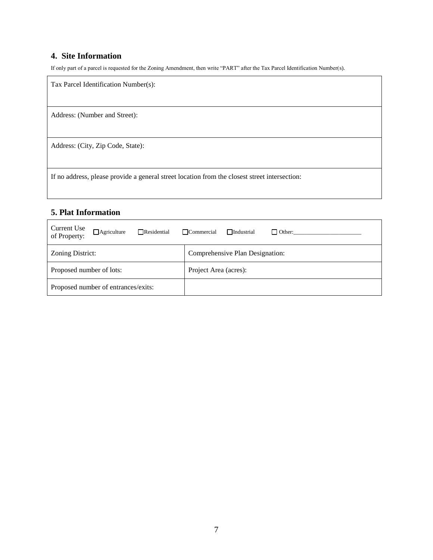#### **4. Site Information**

If only part of a parcel is requested for the Zoning Amendment, then write "PART" after the Tax Parcel Identification Number(s).

| Tax Parcel Identification Number(s):                                                          |
|-----------------------------------------------------------------------------------------------|
| Address: (Number and Street):                                                                 |
| Address: (City, Zip Code, State):                                                             |
| If no address, please provide a general street location from the closest street intersection: |

### **5. Plat Information**

| Current Use<br>$\Box$ Agriculture<br>$\Box$ Residential<br>of Property: | $\Box$ Commercial<br>$\Box$ Industrial<br>$\Box$ Other: |  |  |
|-------------------------------------------------------------------------|---------------------------------------------------------|--|--|
| Zoning District:                                                        | Comprehensive Plan Designation:                         |  |  |
| Proposed number of lots:                                                | Project Area (acres):                                   |  |  |
| Proposed number of entrances/exits:                                     |                                                         |  |  |